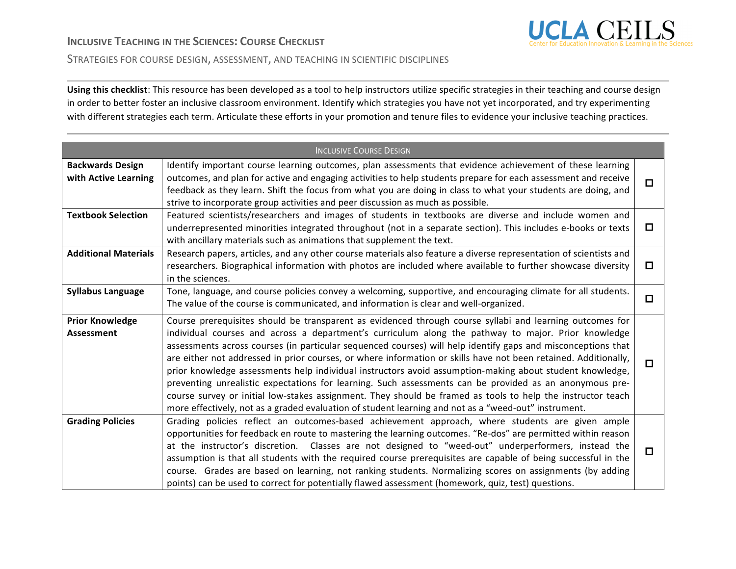

#### STRATEGIES FOR COURSE DESIGN, ASSESSMENT, AND TEACHING IN SCIENTIFIC DISCIPLINES

Using this checklist: This resource has been developed as a tool to help instructors utilize specific strategies in their teaching and course design in order to better foster an inclusive classroom environment. Identify which strategies you have not yet incorporated, and try experimenting with different strategies each term. Articulate these efforts in your promotion and tenure files to evidence your inclusive teaching practices.

| <b>INCLUSIVE COURSE DESIGN</b>                  |                                                                                                                                                                                                                                                                                                                                                                                                                                                                                                                                                                                                                                                                                                                                                                                                                                                                                                  |        |  |
|-------------------------------------------------|--------------------------------------------------------------------------------------------------------------------------------------------------------------------------------------------------------------------------------------------------------------------------------------------------------------------------------------------------------------------------------------------------------------------------------------------------------------------------------------------------------------------------------------------------------------------------------------------------------------------------------------------------------------------------------------------------------------------------------------------------------------------------------------------------------------------------------------------------------------------------------------------------|--------|--|
| <b>Backwards Design</b><br>with Active Learning | Identify important course learning outcomes, plan assessments that evidence achievement of these learning<br>outcomes, and plan for active and engaging activities to help students prepare for each assessment and receive<br>feedback as they learn. Shift the focus from what you are doing in class to what your students are doing, and<br>strive to incorporate group activities and peer discussion as much as possible.                                                                                                                                                                                                                                                                                                                                                                                                                                                                  | $\Box$ |  |
| <b>Textbook Selection</b>                       | Featured scientists/researchers and images of students in textbooks are diverse and include women and<br>underrepresented minorities integrated throughout (not in a separate section). This includes e-books or texts<br>with ancillary materials such as animations that supplement the text.                                                                                                                                                                                                                                                                                                                                                                                                                                                                                                                                                                                                  | □      |  |
| <b>Additional Materials</b>                     | Research papers, articles, and any other course materials also feature a diverse representation of scientists and<br>researchers. Biographical information with photos are included where available to further showcase diversity<br>in the sciences.                                                                                                                                                                                                                                                                                                                                                                                                                                                                                                                                                                                                                                            | □      |  |
| <b>Syllabus Language</b>                        | Tone, language, and course policies convey a welcoming, supportive, and encouraging climate for all students.<br>The value of the course is communicated, and information is clear and well-organized.                                                                                                                                                                                                                                                                                                                                                                                                                                                                                                                                                                                                                                                                                           | □      |  |
| <b>Prior Knowledge</b><br>Assessment            | Course prerequisites should be transparent as evidenced through course syllabi and learning outcomes for<br>individual courses and across a department's curriculum along the pathway to major. Prior knowledge<br>assessments across courses (in particular sequenced courses) will help identify gaps and misconceptions that<br>are either not addressed in prior courses, or where information or skills have not been retained. Additionally,<br>prior knowledge assessments help individual instructors avoid assumption-making about student knowledge,<br>preventing unrealistic expectations for learning. Such assessments can be provided as an anonymous pre-<br>course survey or initial low-stakes assignment. They should be framed as tools to help the instructor teach<br>more effectively, not as a graded evaluation of student learning and not as a "weed-out" instrument. | $\Box$ |  |
| <b>Grading Policies</b>                         | Grading policies reflect an outcomes-based achievement approach, where students are given ample<br>opportunities for feedback en route to mastering the learning outcomes. "Re-dos" are permitted within reason<br>at the instructor's discretion. Classes are not designed to "weed-out" underperformers, instead the<br>assumption is that all students with the required course prerequisites are capable of being successful in the<br>course. Grades are based on learning, not ranking students. Normalizing scores on assignments (by adding<br>points) can be used to correct for potentially flawed assessment (homework, quiz, test) questions.                                                                                                                                                                                                                                        | 0      |  |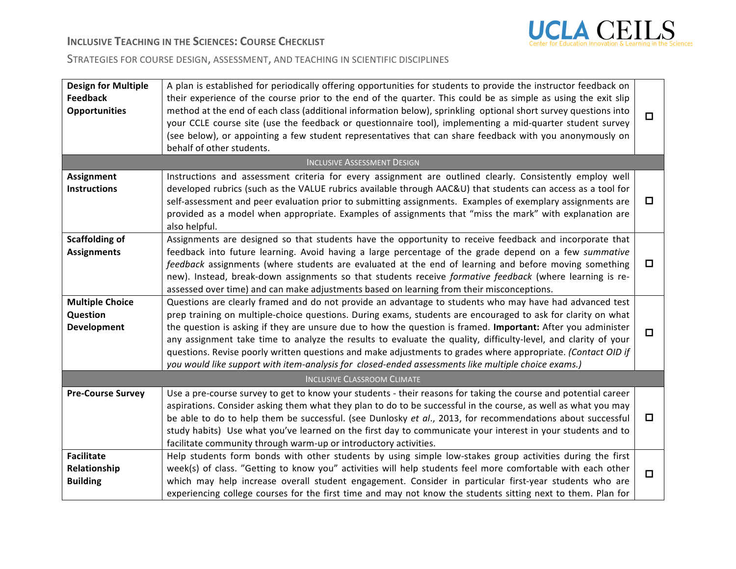

# **INCLUSIVE TEACHING IN THE SCIENCES: COURSE CHECKLIST**

## STRATEGIES FOR COURSE DESIGN, ASSESSMENT, AND TEACHING IN SCIENTIFIC DISCIPLINES

| <b>Design for Multiple</b><br><b>Feedback</b><br><b>Opportunities</b> | A plan is established for periodically offering opportunities for students to provide the instructor feedback on<br>their experience of the course prior to the end of the quarter. This could be as simple as using the exit slip<br>method at the end of each class (additional information below), sprinkling optional short survey questions into<br>your CCLE course site (use the feedback or questionnaire tool), implementing a mid-quarter student survey<br>(see below), or appointing a few student representatives that can share feedback with you anonymously on<br>behalf of other students.                                                                      | $\Box$ |
|-----------------------------------------------------------------------|----------------------------------------------------------------------------------------------------------------------------------------------------------------------------------------------------------------------------------------------------------------------------------------------------------------------------------------------------------------------------------------------------------------------------------------------------------------------------------------------------------------------------------------------------------------------------------------------------------------------------------------------------------------------------------|--------|
|                                                                       | <b>INCLUSIVE ASSESSMENT DESIGN</b>                                                                                                                                                                                                                                                                                                                                                                                                                                                                                                                                                                                                                                               |        |
| Assignment<br><b>Instructions</b>                                     | Instructions and assessment criteria for every assignment are outlined clearly. Consistently employ well<br>developed rubrics (such as the VALUE rubrics available through AAC&U) that students can access as a tool for<br>self-assessment and peer evaluation prior to submitting assignments. Examples of exemplary assignments are<br>provided as a model when appropriate. Examples of assignments that "miss the mark" with explanation are<br>also helpful.                                                                                                                                                                                                               | $\Box$ |
| <b>Scaffolding of</b><br><b>Assignments</b>                           | Assignments are designed so that students have the opportunity to receive feedback and incorporate that<br>feedback into future learning. Avoid having a large percentage of the grade depend on a few summative<br>feedback assignments (where students are evaluated at the end of learning and before moving something<br>new). Instead, break-down assignments so that students receive formative feedback (where learning is re-<br>assessed over time) and can make adjustments based on learning from their misconceptions.                                                                                                                                               | $\Box$ |
| <b>Multiple Choice</b><br>Question<br>Development                     | Questions are clearly framed and do not provide an advantage to students who may have had advanced test<br>prep training on multiple-choice questions. During exams, students are encouraged to ask for clarity on what<br>the question is asking if they are unsure due to how the question is framed. Important: After you administer<br>any assignment take time to analyze the results to evaluate the quality, difficulty-level, and clarity of your<br>questions. Revise poorly written questions and make adjustments to grades where appropriate. (Contact OID if<br>you would like support with item-analysis for closed-ended assessments like multiple choice exams.) | $\Box$ |
|                                                                       | <b>INCLUSIVE CLASSROOM CLIMATE</b>                                                                                                                                                                                                                                                                                                                                                                                                                                                                                                                                                                                                                                               |        |
| <b>Pre-Course Survey</b>                                              | Use a pre-course survey to get to know your students - their reasons for taking the course and potential career<br>aspirations. Consider asking them what they plan to do to be successful in the course, as well as what you may<br>be able to do to help them be successful. (see Dunlosky et al., 2013, for recommendations about successful<br>study habits) Use what you've learned on the first day to communicate your interest in your students and to<br>facilitate community through warm-up or introductory activities.                                                                                                                                               | $\Box$ |
| <b>Facilitate</b><br>Relationship<br><b>Building</b>                  | Help students form bonds with other students by using simple low-stakes group activities during the first<br>week(s) of class. "Getting to know you" activities will help students feel more comfortable with each other<br>which may help increase overall student engagement. Consider in particular first-year students who are<br>experiencing college courses for the first time and may not know the students sitting next to them. Plan for                                                                                                                                                                                                                               | $\Box$ |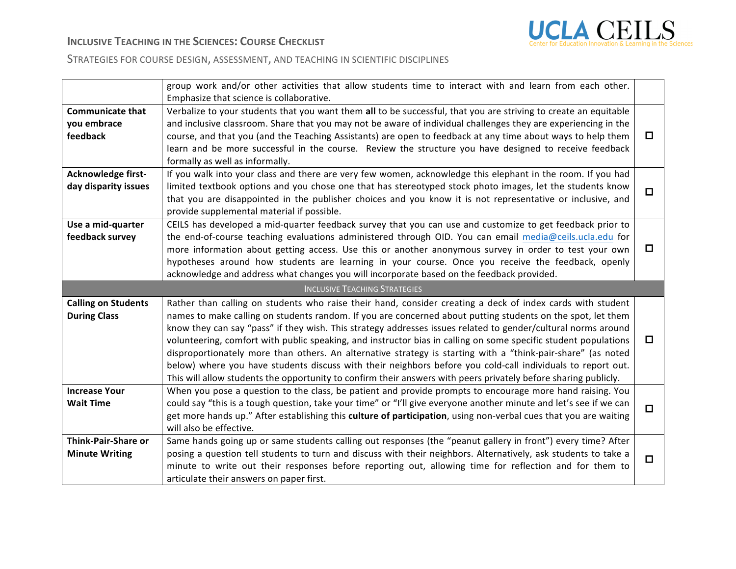

### STRATEGIES FOR COURSE DESIGN, ASSESSMENT, AND TEACHING IN SCIENTIFIC DISCIPLINES

|                                                    | group work and/or other activities that allow students time to interact with and learn from each other.<br>Emphasize that science is collaborative.                                                                                                                                                                                                                                                                                                                                                                                                                                                                                                                                                                                                                                                             |        |  |  |  |
|----------------------------------------------------|-----------------------------------------------------------------------------------------------------------------------------------------------------------------------------------------------------------------------------------------------------------------------------------------------------------------------------------------------------------------------------------------------------------------------------------------------------------------------------------------------------------------------------------------------------------------------------------------------------------------------------------------------------------------------------------------------------------------------------------------------------------------------------------------------------------------|--------|--|--|--|
| <b>Communicate that</b><br>you embrace<br>feedback | Verbalize to your students that you want them all to be successful, that you are striving to create an equitable<br>and inclusive classroom. Share that you may not be aware of individual challenges they are experiencing in the<br>course, and that you (and the Teaching Assistants) are open to feedback at any time about ways to help them<br>learn and be more successful in the course. Review the structure you have designed to receive feedback<br>formally as well as informally.                                                                                                                                                                                                                                                                                                                  | ◻      |  |  |  |
| Acknowledge first-<br>day disparity issues         | If you walk into your class and there are very few women, acknowledge this elephant in the room. If you had<br>limited textbook options and you chose one that has stereotyped stock photo images, let the students know<br>that you are disappointed in the publisher choices and you know it is not representative or inclusive, and<br>provide supplemental material if possible.                                                                                                                                                                                                                                                                                                                                                                                                                            | $\Box$ |  |  |  |
| Use a mid-quarter<br>feedback survey               | CEILS has developed a mid-quarter feedback survey that you can use and customize to get feedback prior to<br>the end-of-course teaching evaluations administered through OID. You can email media@ceils.ucla.edu for<br>more information about getting access. Use this or another anonymous survey in order to test your own<br>hypotheses around how students are learning in your course. Once you receive the feedback, openly<br>acknowledge and address what changes you will incorporate based on the feedback provided.                                                                                                                                                                                                                                                                                 | $\Box$ |  |  |  |
|                                                    | <b>INCLUSIVE TEACHING STRATEGIES</b>                                                                                                                                                                                                                                                                                                                                                                                                                                                                                                                                                                                                                                                                                                                                                                            |        |  |  |  |
|                                                    |                                                                                                                                                                                                                                                                                                                                                                                                                                                                                                                                                                                                                                                                                                                                                                                                                 |        |  |  |  |
| <b>Calling on Students</b><br><b>During Class</b>  | Rather than calling on students who raise their hand, consider creating a deck of index cards with student<br>names to make calling on students random. If you are concerned about putting students on the spot, let them<br>know they can say "pass" if they wish. This strategy addresses issues related to gender/cultural norms around<br>volunteering, comfort with public speaking, and instructor bias in calling on some specific student populations<br>disproportionately more than others. An alternative strategy is starting with a "think-pair-share" (as noted<br>below) where you have students discuss with their neighbors before you cold-call individuals to report out.<br>This will allow students the opportunity to confirm their answers with peers privately before sharing publicly. | □      |  |  |  |
| <b>Increase Your</b><br><b>Wait Time</b>           | When you pose a question to the class, be patient and provide prompts to encourage more hand raising. You<br>could say "this is a tough question, take your time" or "I'll give everyone another minute and let's see if we can<br>get more hands up." After establishing this culture of participation, using non-verbal cues that you are waiting<br>will also be effective.                                                                                                                                                                                                                                                                                                                                                                                                                                  | $\Box$ |  |  |  |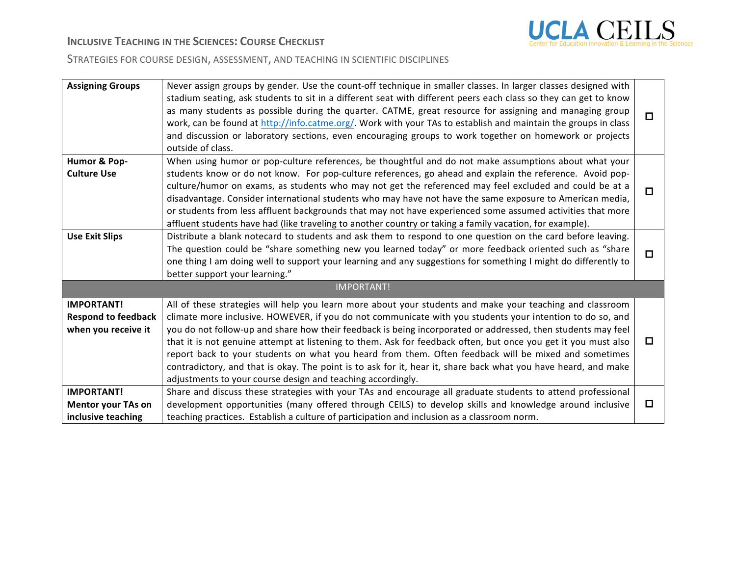

# **INCLUSIVE TEACHING IN THE SCIENCES: COURSE CHECKLIST**

### STRATEGIES FOR COURSE DESIGN, ASSESSMENT, AND TEACHING IN SCIENTIFIC DISCIPLINES

| <b>Assigning Groups</b>                           | Never assign groups by gender. Use the count-off technique in smaller classes. In larger classes designed with<br>stadium seating, ask students to sit in a different seat with different peers each class so they can get to know<br>as many students as possible during the quarter. CATME, great resource for assigning and managing group<br>work, can be found at http://info.catme.org/. Work with your TAs to establish and maintain the groups in class<br>and discussion or laboratory sections, even encouraging groups to work together on homework or projects<br>outside of class.                                      | $\Box$ |
|---------------------------------------------------|--------------------------------------------------------------------------------------------------------------------------------------------------------------------------------------------------------------------------------------------------------------------------------------------------------------------------------------------------------------------------------------------------------------------------------------------------------------------------------------------------------------------------------------------------------------------------------------------------------------------------------------|--------|
| Humor & Pop-                                      | When using humor or pop-culture references, be thoughtful and do not make assumptions about what your                                                                                                                                                                                                                                                                                                                                                                                                                                                                                                                                |        |
| <b>Culture Use</b>                                | students know or do not know. For pop-culture references, go ahead and explain the reference. Avoid pop-<br>culture/humor on exams, as students who may not get the referenced may feel excluded and could be at a<br>disadvantage. Consider international students who may have not have the same exposure to American media,<br>or students from less affluent backgrounds that may not have experienced some assumed activities that more<br>affluent students have had (like traveling to another country or taking a family vacation, for example).                                                                             | $\Box$ |
| <b>Use Exit Slips</b>                             | Distribute a blank notecard to students and ask them to respond to one question on the card before leaving.<br>The question could be "share something new you learned today" or more feedback oriented such as "share<br>one thing I am doing well to support your learning and any suggestions for something I might do differently to<br>better support your learning."                                                                                                                                                                                                                                                            | $\Box$ |
|                                                   | <b>IMPORTANT!</b>                                                                                                                                                                                                                                                                                                                                                                                                                                                                                                                                                                                                                    |        |
| <b>IMPORTANT!</b>                                 | All of these strategies will help you learn more about your students and make your teaching and classroom                                                                                                                                                                                                                                                                                                                                                                                                                                                                                                                            |        |
| <b>Respond to feedback</b><br>when you receive it | climate more inclusive. HOWEVER, if you do not communicate with you students your intention to do so, and<br>you do not follow-up and share how their feedback is being incorporated or addressed, then students may feel<br>that it is not genuine attempt at listening to them. Ask for feedback often, but once you get it you must also<br>report back to your students on what you heard from them. Often feedback will be mixed and sometimes<br>contradictory, and that is okay. The point is to ask for it, hear it, share back what you have heard, and make<br>adjustments to your course design and teaching accordingly. | $\Box$ |
| <b>IMPORTANT!</b>                                 | Share and discuss these strategies with your TAs and encourage all graduate students to attend professional                                                                                                                                                                                                                                                                                                                                                                                                                                                                                                                          |        |
| <b>Mentor your TAs on</b>                         | development opportunities (many offered through CEILS) to develop skills and knowledge around inclusive                                                                                                                                                                                                                                                                                                                                                                                                                                                                                                                              | $\Box$ |
| inclusive teaching                                | teaching practices. Establish a culture of participation and inclusion as a classroom norm.                                                                                                                                                                                                                                                                                                                                                                                                                                                                                                                                          |        |